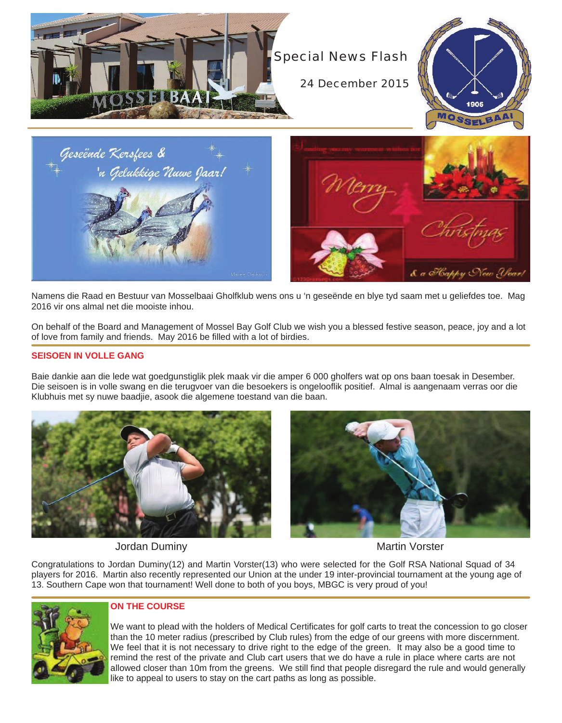

Namens die Raad en Bestuur van Mosselbaai Gholfklub wens ons u 'n geseënde en blye tyd saam met u geliefdes toe. Mag 2016 vir ons almal net die mooiste inhou.

On behalf of the Board and Management of Mossel Bay Golf Club we wish you a blessed festive season, peace, joy and a lot of love from family and friends. May 2016 be filled with a lot of birdies.

#### **SEISOEN IN VOLLE GANG**

Baie dankie aan die lede wat goedgunstiglik plek maak vir die amper 6 000 gholfers wat op ons baan toesak in Desember. Die seisoen is in volle swang en die terugvoer van die besoekers is ongelooflik positief. Almal is aangenaam verras oor die Klubhuis met sy nuwe baadjie, asook die algemene toestand van die baan.





Jordan Duminy **Martin Vorster** Martin Vorster

Congratulations to Jordan Duminy(12) and Martin Vorster(13) who were selected for the Golf RSA National Squad of 34 players for 2016. Martin also recently represented our Union at the under 19 inter-provincial tournament at the young age of 13. Southern Cape won that tournament! Well done to both of you boys, MBGC is very proud of you!



## **ON THE COURSE**

We want to plead with the holders of Medical Certificates for golf carts to treat the concession to go closer than the 10 meter radius (prescribed by Club rules) from the edge of our greens with more discernment. We feel that it is not necessary to drive right to the edge of the green. It may also be a good time to remind the rest of the private and Club cart users that we do have a rule in place where carts are not allowed closer than 10m from the greens. We still find that people disregard the rule and would generally like to appeal to users to stay on the cart paths as long as possible.